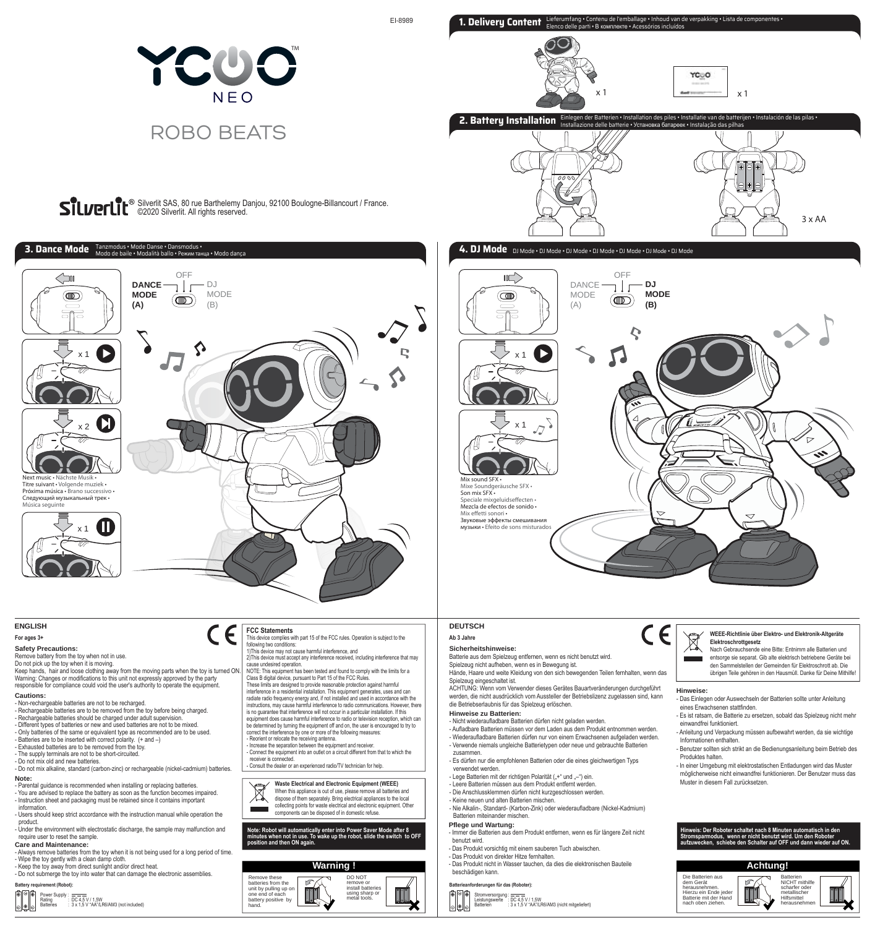

EI-8989



Silverlit SAS, 80 rue Barthelemy Danjou, 92100 Boulogne-Billancourt / France. ©2020 Silverlit. All rights reserved.



 $\epsilon$ 

# **ENGLISH**

# **For ages 3+**

**Safety Precautions:**  Remove battery from the toy when not in use.

Do not pick up the toy when it is moving.<br>Keep hands, hair and loose clothing away from the moving parts when the toy is turned ON.<br>Warning: Changes or modifications to this unit not expressly approved by the party

responsible for compliance could void the user's authority to operate the equipment. **Cautions:** 

- Non-rechargeable batteries are not to be recharged. - Rechargeable batteries are to be removed from the toy before being charged. - Rechargeable batteries should be charged under adult supervision. - Different types of batteries or new and used batteries are not to be mixed.

- Only batteries of the same or equivalent type as recommended are to be used. - Batteries are to be inserted with correct polarity. (+ and –) - Exhausted batteries are to be removed from the toy.

- The supply terminals are not to be short-circuited. - Do not mix old and new batteries.

- Do not mix alkaline, standard (carbon-zinc) or rechargeable (nickel-cadmium) batteries

**Note:**  - Parental guidance is recommended when installing or replacing batteries. - You are advised to replace the battery as soon as the function becomes impaired. - Instruction sheet and packaging must be retained since it contains important

information. - Users should keep strict accordance with the instruction manual while operation the product.

**Care and Maintenance:** - Under the environment with electrostatic discharge, the sample may malfunction and require user to reset the sample.

- Always remove batteries from the toy when it is not being used for a long period of time. - Wipe the toy gently with a clean damp cloth. - Keep the toy away from direct sunlight and/or direct heat.

**Battery requirement (Robot):** - Do not submerge the toy into water that can damage the electronic assemblies.





## **FCC Statements**

This device complies with part 15 of the FCC rules. Operation is subject to the This device complies with part 15 of the FCC rules.

following two conditions:<br>1)This device may not cause harmful interference, and<br>2)This device must accept any interference received, including interference that may<br>cause undesired operation.

NOTE: This equipment has been tested and found to comply with the limits for a Class B digital device, pursuant to Part 15 of the FCC Rules.

These limits are designed to provide reasonable protection against harmful<br>interference in a residential installation. This equipment generates, uses and can<br>radiate radio frequency energy and, if not installed and used in is no guarantee that interference will not occur in a particular installation. If this equipment does cause harmful interference to radio or television reception, which can

be determined by turning the equipment off and on, the user is encouraged to try to correct the interference by one or more of the following measures: - Reorient or relocate the receiving antenna. - Increase the separation between the equipment and receiver.

- Connect the equipment into an outlet on a circuit different from that to which the receiver is connected.

**Waste Electrical and Electronic Equipment (WEEE)** Ī

- dispose of them separately. Bring electrical appliances to the local
- collecting points for waste electrical and electronic equipment. Other components can be disposed of in domestic refuse.

**Note: Robot will automatically enter into Power Saver Mode after 8 minutes when not in use. To wake up the robot, slide the switch to OFF position and then ON again.**





**1. Delivery Content** Lieferumfang • Contenu de l'emballage • Inhoud van de verpakking • Lista de componentes • Elenco delle parti • В комплекте • Acessórios incluídos

YCOO

#### **Ab 3 Jahre DEUTSCH**

#### **Sicherheitshinweise:**

Batterie aus dem Spielzeug entfernen, wenn es nicht benutzt wird.

Spielzeug nicht aufheben, wenn es in Bewegung ist. Hände, Haare und weite Kleidung von den sich bewegenden Teilen fernhalten, wenn das Spielzeug eingeschaltet ist.

ACHTUNG: Wenn vom Verwender dieses Gerätes Bauartveränderungen durchgeführt werden, die nicht ausdrücklich vom Aussteller der Betriebslizenz zugelassen sind, kann die Betriebserlaubnis für das Spielzeug erlöschen.

#### **Hinweise zu Batterien:**

- Nicht wiederaufladbare Batterien dürfen nicht geladen werden.

- Aufladbare Batterien müssen vor dem Laden aus dem Produkt entnommen werden. Wiederaufladbare Batterien dürfen nur von einem Erwachsenen aufgeladen werden. - Verwende niemals ungleiche Batterietypen oder neue und gebrauchte Batterien
- zusammen. - Es dürfen nur die empfohlenen Batterien oder die eines gleichwertigen Typs
- verwendet werden.
- Lege Batterien mit der richtigen Polarität ("+" und "-") ein
- 
- Leere Batterien müssen aus dem Produkt entfernt werden. Die Anschlussklemmen dürfen nicht kurzgeschlossen werden.

- Keine neuen und alten Batterien mischer - Nie Alkalin-, Standard- (Karbon-Zink) oder wiederaufladbare (Nickel-Kadmium)

#### Batterien miteinander mischen.

- **Pflege und Wartung:**
- Immer die Batterien aus dem Produkt entfernen, wenn es für längere Zeit nicht benutzt wird.
- Das Produkt vorsichtig mit einem sauberen Tuch abwischen.
- Das Produkt von direkter Hitze fernhalten. - Das Produkt nicht in Wasser tauchen, da dies die elektronischen Bauteile beschädigen kann.

## **Batterieanforderungen für das (Roboter):**

ក្តាចាក្តា Stromversorgung : ———<br>Leistungswerte : DC 4,5 V / 1,5W<br>Batterien : 3 x 1,5 V "AA"/LR6/AM3 (nicht mitgeliefert) 80



- Nach Gebrauchsende eine Bitte: Entnimm alle Batterien und
- entsorge sie separat. Gib alte elektrisch betriebene Geräte bei den Sammelstellen der Gemeinden für Elektroschrott ab. Die übrigen Teile gehören in den Hausmüll. Danke für Deine Mithilfe!

**Hinweise:** 

CE

- Das Einlegen oder Auswechseln der Batterien sollte unter Anleitung eines Erwachsenen stattfinden.
- Es ist ratsam, die Batterie zu ersetzen, sobald das Spielzeug nicht mehr einwandfrei funktioniert.
- Anleitung und Verpackung müssen aufbewahrt werden, da sie wichtige Informationen enthalten.
- Benutzer sollten sich strikt an die Bedienungsanleitung beim Betrieb des Produktes halten.
- In einer Umgebung mit elektrostatischen Entladungen wird das Muster möglicherweise nicht einwandfrei funktionieren. Der Benutzer muss das Muster in diesem Fall zurücksetzen.





# Consult the dealer or an experienced radio/TV technician for help. When this appliance is out of use, please remove all batteries and